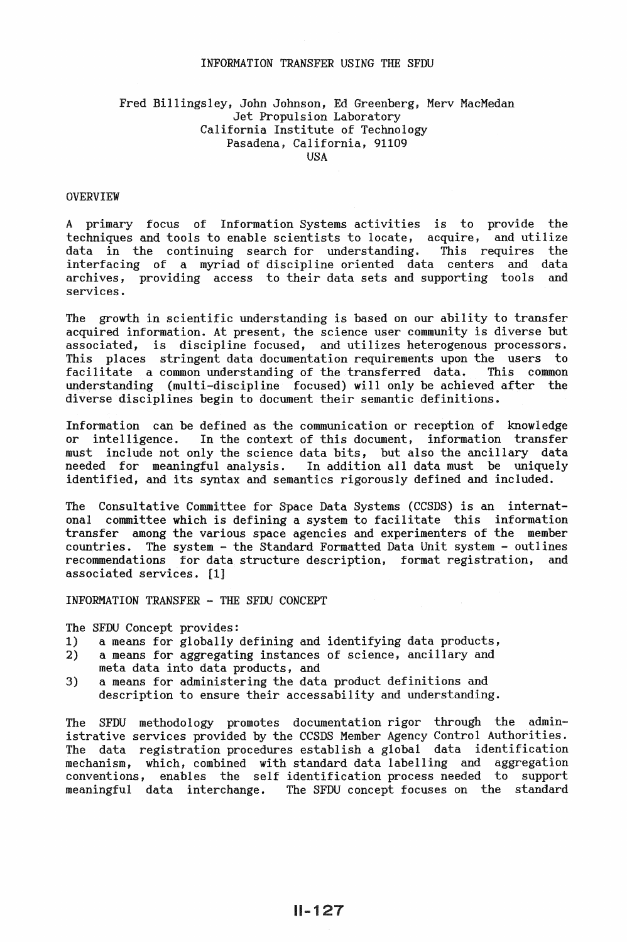#### INFORMATION TRANSFER USING THE SFDU

# Fred Billingsley, John Johnson, Ed Greenberg, Merv MacMedan Jet Propulsion Laboratory California Institute of Technology Pasadena, California, 91109 USA

#### OVERVIEW

A primary focus of Information Systems activities is to provide the techniques and tools to enable scientists to locate, acquire, and utilize data in the continuing search for understanding. This requires the interfacing of a myriad of discipline oriented data centers and data archives, providing access to their data sets and supporting tools and services.

The growth in scientific understanding is based on our ability to transfer acquired information. At present, the science user community is diverse but associated, is discipline focused, and utilizes heterogenous processors. This places stringent data documentation requirements upon the users to facilitate a common understanding of the transferred data. This common facilitate a common understanding of the transferred data. understanding (multi-discipline focused) will only be achieved after the diverse disciplines begin to document their semantic definitions.

Information can be defined as the communication or reception of knowledge or intelligence. In the context of this document, information transfer must include not only the science data bits, but also the ancillary data needed for meaningful analysis. In addition all data must be uniquely identified, and its syntax and semantics rigorously defined and included.

The Consultative Committee for Space Data Systems (CCSDS) is an internatonal committee which is defining a system to facilitate this information transfer among the various space agencies and experimenters of the member countries. The system - the Standard Formatted Data Unit system - outlines recommendations for data structure description, format registration, and associated services. [1]

INFORMATION TRANSFER - THE SFDU CONCEPT

The SFDU Concept provides:

- 1) a means for globally defining and identifying data products,
- 2) a means for aggregating instances of science, ancillary and meta data into data products, and
- 3) a means for administering the data product definitions and description to ensure their accessability and understanding.

The SFDU methodology promotes documentation rigor through the administrative services provided by the CCSDS Member Agency Control Authorities. The data registration procedures establish a global data identification mechanism, which, combined with standard data labelling and aggregation conventions, enables the self identification process needed to support meaningful data interchange. The SFDU concept focuses on the standard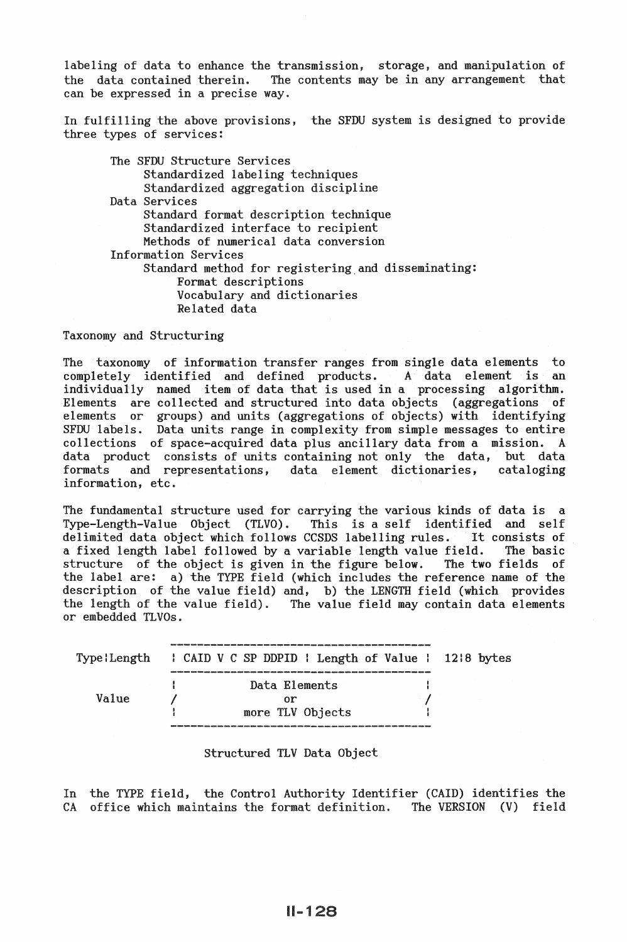labeling of data to enhance the transmission, storage, and manipulation of the data contained therein. The contents may be in any arrangement that The contents may be in any arrangement that can be expressed in a precise way.

In fulfilling the above provisions, the SFDU system is designed to provide three types of services:

The SFDU Structure Services Standardized labeling techniques Standardized aggregation discipline Data Services Standard format description technique Standardized interface to recipient Methods of numerical data conversion Information Services Standard method for registering and disseminating: Format descriptions Vocabulary and dictionaries Related data

Taxonomy and Structuring

The taxonomy of information transfer ranges from single data elements to completely identified and defined products. A data element is an completely identified and defined products. individually named item of data that is used in a processing algorithm. Elements are collected and structured into data objects (aggregations of elements or groups) and units (aggregations of objects) with identifying SFDU labels. Data units range in complexity from simple messages to entire collections of space-acquired data plus ancillary data from a mission. A data product consists of units containing not only the data. but data data product consists of units containing not only the data, but data<br>formats and representations, data element dictionaries, cataloging data element dictionaries, information, etc.

The fundamental structure used for carrying the various kinds of data is a Type-Length-Value Object (TLVO). This is a self identified and self This is a self identified and self<br>CSDS labelling rules. It consists of delimited data object which follows CCSDS labelling rules. It consists of a fixed length label followed by a variable length value field. The basic a fixed length label followed by a variable length value field. The basic<br>structure of the object is given in the figure below. The two fields of structure of the object is given in the figure below. the label are: a) the TYPE field (which includes the reference name of the description of the value field) and, b) the LENGTH field (which provides the length of the value field). The value field may contain data elements or embedded TLVOs.

|       |  | Type:Length : CAID V C SP DDPID : Length of Value : 12:8 bytes |  |
|-------|--|----------------------------------------------------------------|--|
|       |  |                                                                |  |
|       |  | Data Elements                                                  |  |
| Value |  | Ωr                                                             |  |
|       |  | more TLV Objects                                               |  |
|       |  |                                                                |  |

#### Structured TLV Data Object

In the TYPE field, the Control Authority Identifier (CAID) identifies the CA office which maintains the format definition. The VERSION (V) field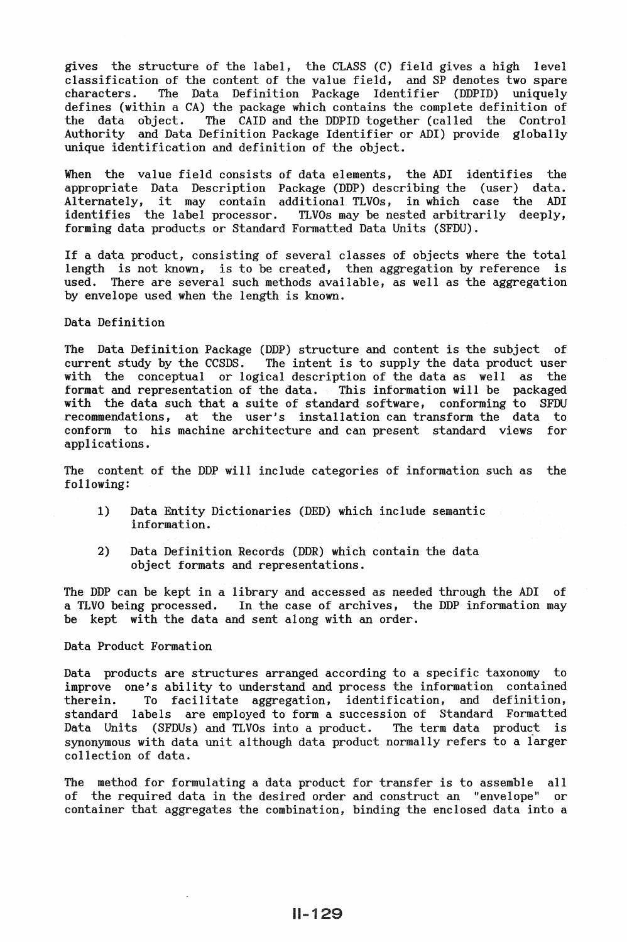gives the structure of the label, the CLASS (C) field gives a high level classification of the content of the value field, and SP denotes two spare<br>characters. The Data Definition Package Identifier (DDPID) uniquely The Data Definition Package Identifier defines (within a CA) the package which contains the complete definition of<br>the data object. The CAID and the DDPID together (called the Control The CAID and the DDPID together (called the Control Authority and Data Definition Package Identifier or ADI) provide globally unique identification and definition of the object.

When the value field consists of data elements, the ADI identifies the appropriate Data Description Package (DDP) describing the (user) data. Alternately, it may contain additional TLVOs, in which case the ADI identifies the label processor. TLVOs may be nested arbitrarily deeply, forming data products or Standard Formatted Data Units (SFDU).

If a data product, consisting of several classes of objects where the total<br>length is not known, is to be created, then aggregation by reference is length is not known, is to be created, then aggregation by reference used. There are several such methods available, as well as the aggregation by envelope used when the length is known.

Data Definition

The Data Definition Package (DDP) structure and content is the subject of current study by the CCSDS. The intent is to supply the data product user The intent is to supply the data product user with the conceptual or logical description of the data as well as the format and representation of the data. This information will be packaged with the data such that a suite of standard software, conforming to SFDU<br>recommendations, at the user's installation can transform the data to at the user's installation can transform the data to conform to his machine architecture and can present standard views for applications.

The content of the DDP will include categories of information such as the following:

- 1) Data Entity Dictionaries (DED) which include semantic information.
- 2) Data Definition Records (DDR) which contain the data object formats and representations.

The DDP can be kept in a library and accessed as needed through the ADI of a TLVO being processed. In the case of archives, the DDP information may be kept with the data and sent along with an order.

Data Product Formation

Data products are structures arranged according to a specific taxonomy to improve one's ability to understand and process the information contained therein. To facilitate aggregation, identification, and definition, standard labels are employed to form a succession of Standard Formatted Data Units (SFDUs) and TLVOs into a product. The term data product is synonymous with data unit although data product normally refers to a iarger collection of data.

The method for formulating a data product for transfer is to assemble all of the required data in the desired order and construct an "envelope" or container that aggregates the combination, binding the enclosed data into a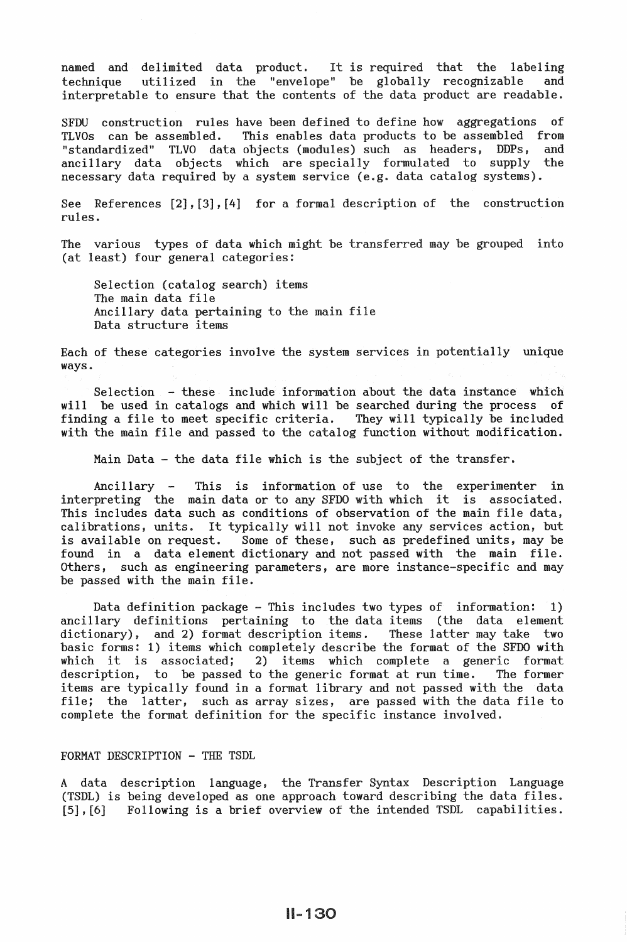named and delimited data product. It is required that the labeling technique utilized in the "envelope" be globally recognizable and interpretable to ensure that the contents of the data product are readable.

SFDU construction rules have been defined to define how aggregations of TLVOs can be assembled. This enables data products to be assembled from This enables data products to be assembled from "standardized" TLVO data objects (modules) such as headers, DDPs, and ancillary data objects which are specially formulated to supply the necessary data required by a system service (e.g. data catalog systems).

See References [2], [3],[4] for a formal description of the construction rules.

The various types of data which might be transferred may be grouped into (at least) four general categories:

Selection (catalog search) items The main data file Ancillary data pertaining to the main file Data structure items

Each of these categories involve the system services in potentially unique ways.

Selection - these include information about the data instance which will be used in catalogs and which will be searched during the process of finding a file to meet specific criteria. They will typically be included with the main file and passed to the catalog function without modification.

Main Data - the data file which is the subject of the transfer.

Ancillary - This is information of use to the experimenter in interpreting the main data or to any SFDO with which it is associated. This includes data such as conditions of observation of the main file data, calibrations, units. It typically will not invoke any services action, but is available on request. Some of these, such as predefined units, may be found in a data element dictionary and not passed with the main file. Others, such as engineering parameters, are more instance-specific and may be passed with the main file.

Data definition package - This includes two types of information: 1) ancillary definitions pertaining to the data items (the data element dictionary), and 2) format description items. These latter may take two basic forms: 1) items which completely describe the format of the SFDO with which it is associated; 2) items which complete a generic format description, to be passed to the generic format at run time. The former description, to be passed to the generic format at run time. items are typically found in a format library and not passed with the data file; the latter, such as array sizes, are passed with the data file to complete the format definition for the specific instance involved.

### FORMAT DESCRIPTION - THE TSDL

A data description language, the Transfer Syntax Description Language (TSDL) is being developed as one approach toward describing the data files. [5], [6] Following is a brief overview of the intended TSDL capabilities.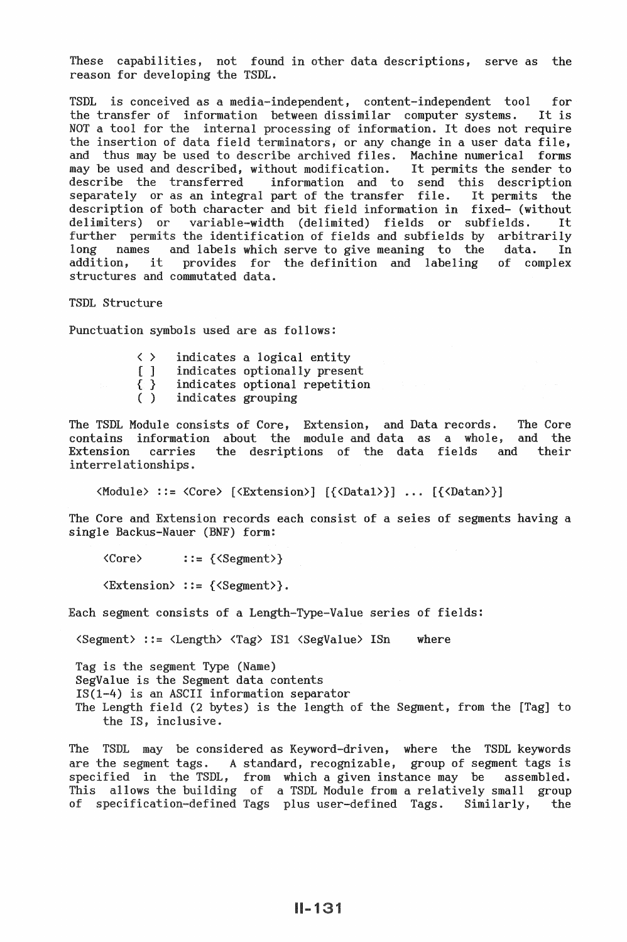These capabilities, not found in other data descriptions, serve as the reason for developing the TSDL.

TSDL is conceived as a media-independent, content-independent tool for<br>the transfer of information between dissimilar computer systems. It is the transfer of information between dissimilar computer systems. NOT a tool for the internal processing of information. It does not require the insertion of data field terminators, or any change in a user data file, and thus may be used to describe archived files. Machine numerical forms may be used and described, without modification. It permits the sender to may be used and described, without modification.<br>describe the transferred information and to information and to send this description<br>part of the transfer file. It permits the separately or as an integral part of the transfer file. It permits the description of both character and bit field information in fixed- (without delimiters) or variable-width (delimited) fields or subfields. It variable-width (delimited) fields or subfields. It<br>the identification of fields and subfields by arbitrarily further permits the identification of fields and subfields by arbitrarily<br>long names and labels which serve to give meaning to the data. In long names and labels which serve to give meaning to the addition. it provides for the definition and labeling addition, it provides for the definition and labeling of complex structures and commutated data.

TSDL Structure

Punctuation symbols used are as follows:

- $\langle \rangle$ indicates a logical entity<br>indicates optionally present
- [ ]
- { } indicates optional repetition
- ( ) indicates grouping

The TSDL Module consists of Core, Extension, and Data records. The Core contains information about the module and data as a whole, and the Extension carries interrelationships. the desriptions of the data fields and their

<Module> ::=<Core> [<Extension>] [{<Datal>}] ... [{<Datan>}]

The Core and Extension records each consist of a seies of segments having a single Backus-Nauer (BNF) form:

<Core> ::={<Segment>}

<Extension> ::={<Segment>}.

Each segment consists of a Length-Type-Value series of fields:

 $\text{Segment}$  ::=  $\text{Clength}$   $\text{Gag}$  IS1  $\text{CsegValue}$  ISn where

Tag is the segment Type (Name) SegValue is the Segment data contents  $IS(1-4)$  is an ASCII information separator The Length field (2 bytes) is the length of the Segment, from the [Tag] to the *IS,* inclusive.

The TSDL may be considered as Keyword-driven, where the TSDL keywords are the segment tags. A standard, recognizable, group of segment tags is This of specification-defined Tags plus user-defined Tags. Similarly, the which a given instance may be assembled. a TSDL Module from a relatively small group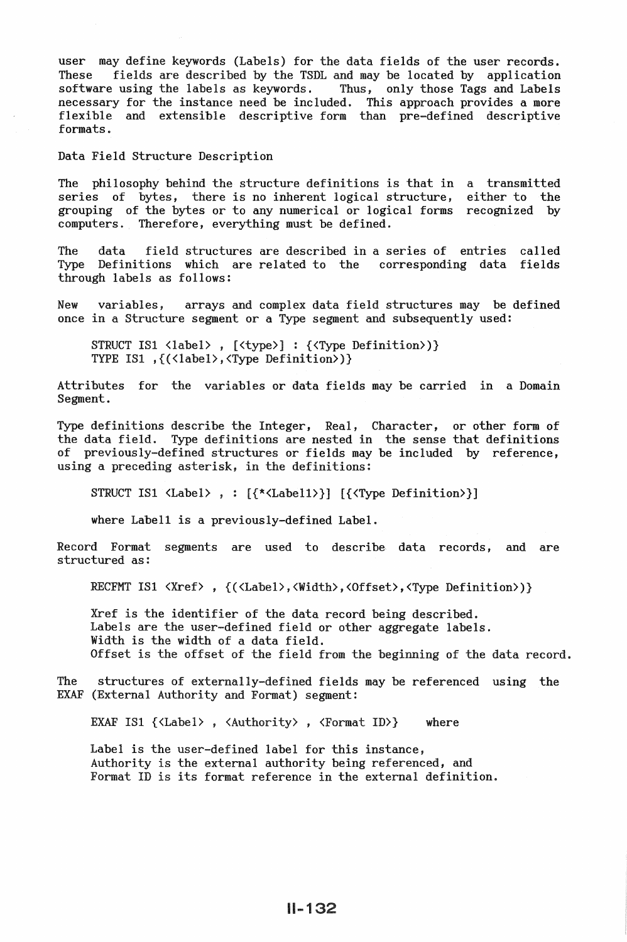user may define keywords (Labels) for the data fields of the user records. These fields are described by the TSDL and may be located by application<br>software using the labels as keywords. Thus, only those Tags and Labels software using the labels as keywords. necessary for the instance need be included. This approach provides a more flexible and extensible descriptive form than pre-defined descriptive formats.

Data Field Structure Description

The philosophy behind the structure definitions is that in a transmitted series of bytes, there is no inherent logical structure, grouping of the bytes or to any numerical or logical forms recognized by computers. Therefore, everything must be defined. either to the

The data field structures are described in a series of entries Type Definitions which are related to the corresponding data fields through labels as follows: called

New variables, arrays and complex data field structures may be defined once in a Structure segment or a Type segment and subsequently used:

STRUCT IS1 <label>, [<type>] : {<Type Definition>)} TYPE ISl ,{(<label>,<Type Definition>)}

Attributes for the variables or data fields may be carried in a Domain Segment.

Type definitions describe the Integer, Real, Character, or other form of the data field. Type definitions are nested in the sense that definitions of previously-defined structures or fields may be included by reference, using a preceding asterisk, in the definitions:

STRUCT ISl <Label> *,* : [{\*<Labell>}] [{<Type Definition>}]

where Labell is a previously-defined Label.

Record Format segments are used to describe data records, and are structured as:

RECFMT IS1 <Xref>, {(<Label>,<Width>,<Offset>,<Type Definition>)}

Xref is the identifier of the data record being described. Labels are the user-defined field or other aggregate labels. Width is the width of a data field. Offset is the offset of the field from the beginning of the data record.

The structures of externally-defined fields may be referenced using the EXAF (External Authority and Format) segment:

EXAF IS1  $\{\langle \text{Label}\rangle, \langle \text{Authority}\rangle, \langle \text{Format ID}\rangle\}$  where

Label is the user-defined label for this instance, Authority is the external authority being referenced, and Format ID is its format reference in the external definition.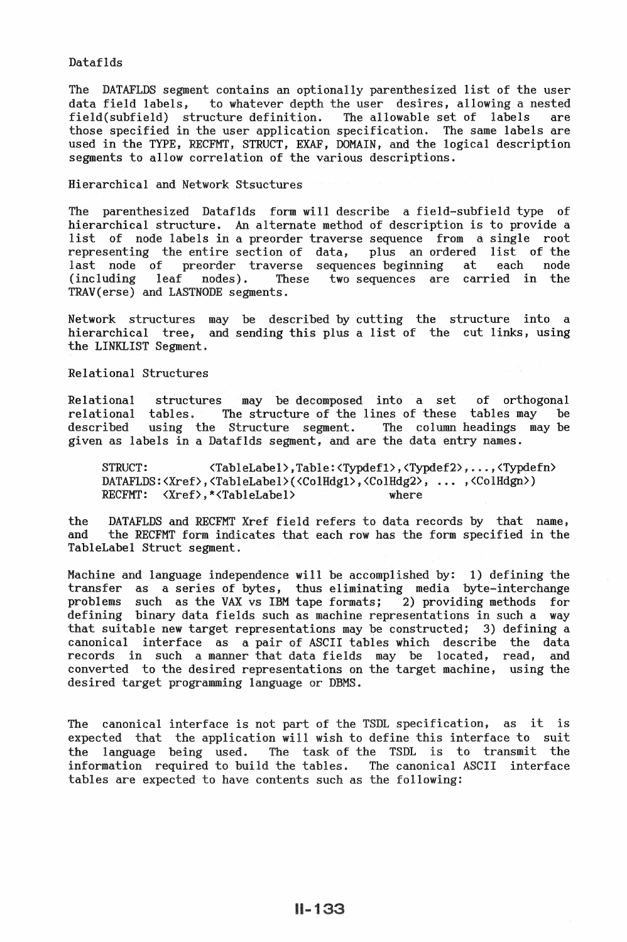# Dataflds

The DATAFLDS segment contains an optionally parenthesized list of the user data field labels, to whatever depth the user desires, allowing a nested to whatever depth the user desires, allowing a nested<br>incture definition. The allowable set of labels are  $field(sufficient)$  structure definition. those specified in the user application specification. The same labels are used in the TYPE, RECFMT, STRUCT, EXAF, DOMAIN, and the logical description segments to allow correlation of the various descriptions.

Hierarchical and Network Stsuctures

The parenthesized Dataflds form will describe a field-subfield type of hierarchical structure. An alternate method of description is to provide a list of node labels in a preorder traverse sequence from a single root representing the entire section of data, plus an ordered list of the last node of preorder traverse sequences beginning at each node (including leaf nodes). These two sequences are carried in the TRAV(erse) and LASTNODE segments.

Network structures may be described by cutting the structure into a hierarchical tree, and sending this plus a list of the cut links, using the LINKLIST Segment.

Relational Structures

Relational structures may be decomposed into a set of orthogonal relational tables. The structure of the lines of these tables may be described using the Structure segment. The column headings may be described using the Structure segment. The column headings may be given as labels in a Dataflds segment, and are the data entry names.

STRUCT: <TableLabel>,Table:<Typdefl>,<Typdef2>, ... ,<Typdefn> DATAFLDS:<Xref>,<TableLabel>(<ColHdg1>,<ColHdg2>, ... ,<ColHdgn>)<br>RECEMT: <Xref>.\*<TableLabel>where RECFMT:  $\langle$ Xref>, \* $\langle$ TableLabel>

the DATAFLDS and RECFMT Xref field refers to data records by that name,<br>and the RECFMT form indicates that each row has the form specified in the the RECFMT form indicates that each row has the form specified in the TableLabel Struct segment.

Machine and language independence will be accomplished by: 1) defining the transfer as a series of bytes, thus eliminating media byte-interchange problems such as the VAX vs IBM tape formats; 2) providing methods for defining binary data fields such as machine representations in such a way that suitable new target representations may be constructed; 3) defining a canonical interface as a pair of ASCII tables which describe the data records in such a manner that data fields may be located, read, and converted to the desired representations on the target machine, using the desired target programming language or DBMS.

The canonical interface is not part of the TSDL specification, as it is expected that the application will wish to define this interface to suit the language being used. The task of the TSDL is to transmit the information required to build the tables. The canonical ASCII interface tables are expected to have contents such as the following: